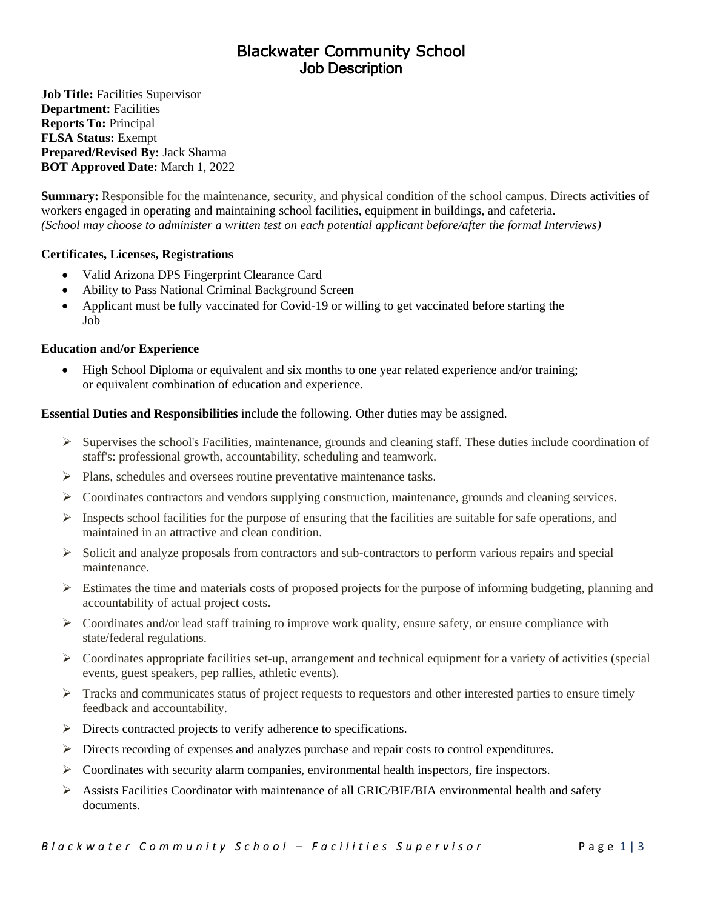# Blackwater Community School Job Description

**Job Title:** Facilities Supervisor **Department:** Facilities **Reports To:** Principal **FLSA Status:** Exempt **Prepared/Revised By:** Jack Sharma **BOT Approved Date:** March 1, 2022

**Summary:** Responsible for the maintenance, security, and physical condition of the school campus. Directs activities of workers engaged in operating and maintaining school facilities, equipment in buildings, and cafeteria. *(School may choose to administer a written test on each potential applicant before/after the formal Interviews)*

# **Certificates, Licenses, Registrations**

- Valid Arizona DPS Fingerprint Clearance Card
- Ability to Pass National Criminal Background Screen
- Applicant must be fully vaccinated for Covid-19 or willing to get vaccinated before starting the Job

### **Education and/or Experience**

• High School Diploma or equivalent and six months to one year related experience and/or training; or equivalent combination of education and experience.

### **Essential Duties and Responsibilities** include the following. Other duties may be assigned.

- $\triangleright$  Supervises the school's Facilities, maintenance, grounds and cleaning staff. These duties include coordination of staff's: professional growth, accountability, scheduling and teamwork.
- ➢ Plans, schedules and oversees routine preventative maintenance tasks.
- $\triangleright$  Coordinates contractors and vendors supplying construction, maintenance, grounds and cleaning services.
- $\triangleright$  Inspects school facilities for the purpose of ensuring that the facilities are suitable for safe operations, and maintained in an attractive and clean condition.
- $\triangleright$  Solicit and analyze proposals from contractors and sub-contractors to perform various repairs and special maintenance.
- $\triangleright$  Estimates the time and materials costs of proposed projects for the purpose of informing budgeting, planning and accountability of actual project costs.
- $\triangleright$  Coordinates and/or lead staff training to improve work quality, ensure safety, or ensure compliance with state/federal regulations.
- $\triangleright$  Coordinates appropriate facilities set-up, arrangement and technical equipment for a variety of activities (special events, guest speakers, pep rallies, athletic events).
- $\triangleright$  Tracks and communicates status of project requests to requestors and other interested parties to ensure timely feedback and accountability.
- ➢ Directs contracted projects to verify adherence to specifications.
- ➢ Directs recording of expenses and analyzes purchase and repair costs to control expenditures.
- $\triangleright$  Coordinates with security alarm companies, environmental health inspectors, fire inspectors.
- $\triangleright$  Assists Facilities Coordinator with maintenance of all GRIC/BIE/BIA environmental health and safety documents.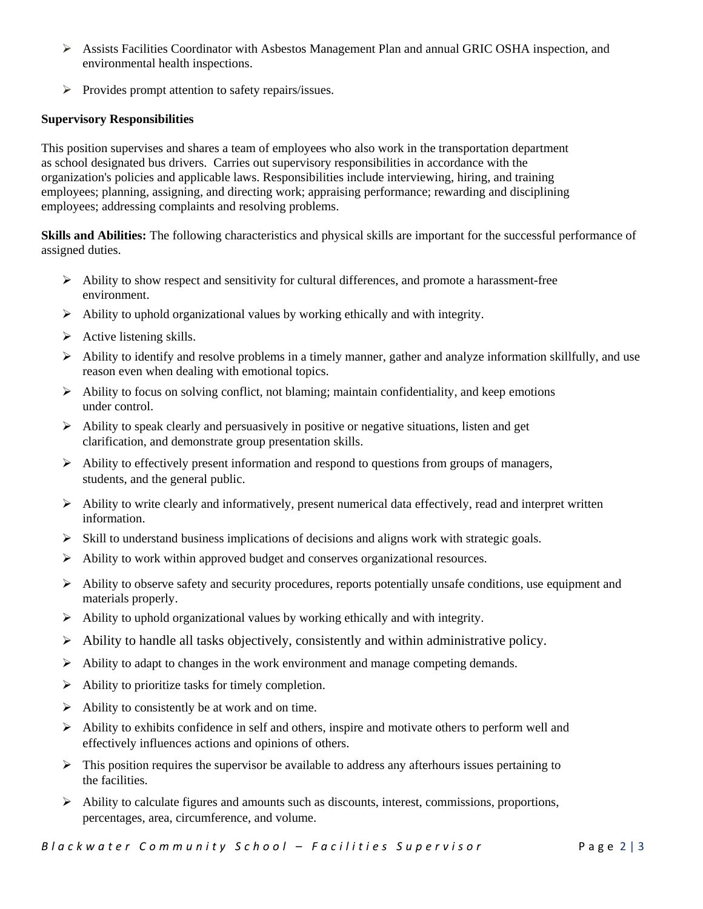- ➢ Assists Facilities Coordinator with Asbestos Management Plan and annual GRIC OSHA inspection, and environmental health inspections.
- ➢ Provides prompt attention to safety repairs/issues.

# **Supervisory Responsibilities**

This position supervises and shares a team of employees who also work in the transportation department as school designated bus drivers. Carries out supervisory responsibilities in accordance with the organization's policies and applicable laws. Responsibilities include interviewing, hiring, and training employees; planning, assigning, and directing work; appraising performance; rewarding and disciplining employees; addressing complaints and resolving problems.

**Skills and Abilities:** The following characteristics and physical skills are important for the successful performance of assigned duties.

- $\triangleright$  Ability to show respect and sensitivity for cultural differences, and promote a harassment-free environment.
- ➢ Ability to uphold organizational values by working ethically and with integrity.
- $\triangleright$  Active listening skills.
- $\triangleright$  Ability to identify and resolve problems in a timely manner, gather and analyze information skillfully, and use reason even when dealing with emotional topics.
- ➢ Ability to focus on solving conflict, not blaming; maintain confidentiality, and keep emotions under control.
- $\triangleright$  Ability to speak clearly and persuasively in positive or negative situations, listen and get clarification, and demonstrate group presentation skills.
- $\triangleright$  Ability to effectively present information and respond to questions from groups of managers, students, and the general public.
- $\triangleright$  Ability to write clearly and informatively, present numerical data effectively, read and interpret written information.
- $\triangleright$  Skill to understand business implications of decisions and aligns work with strategic goals.
- ➢ Ability to work within approved budget and conserves organizational resources.
- $\triangleright$  Ability to observe safety and security procedures, reports potentially unsafe conditions, use equipment and materials properly.
- ➢ Ability to uphold organizational values by working ethically and with integrity.
- $\triangleright$  Ability to handle all tasks objectively, consistently and within administrative policy.
- $\triangleright$  Ability to adapt to changes in the work environment and manage competing demands.
- $\triangleright$  Ability to prioritize tasks for timely completion.
- $\triangleright$  Ability to consistently be at work and on time.
- $\triangleright$  Ability to exhibits confidence in self and others, inspire and motivate others to perform well and effectively influences actions and opinions of others.
- $\triangleright$  This position requires the supervisor be available to address any afterhours issues pertaining to the facilities.
- $\triangleright$  Ability to calculate figures and amounts such as discounts, interest, commissions, proportions, percentages, area, circumference, and volume.